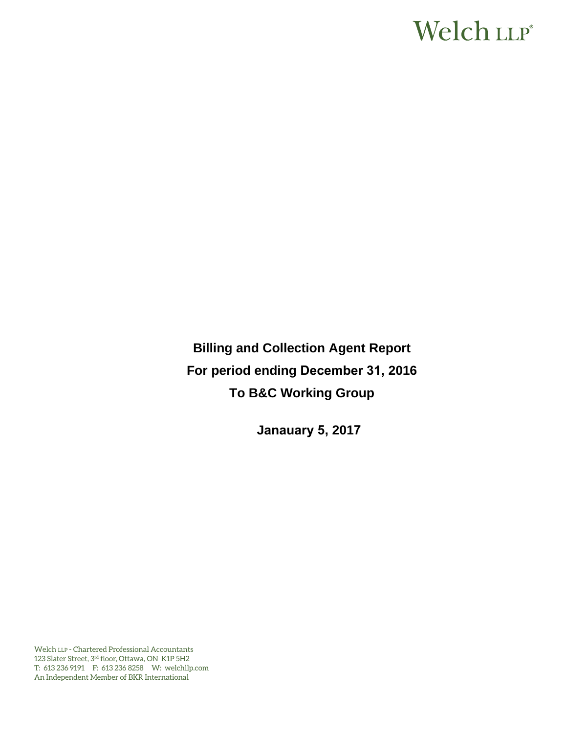# Welch LLP®

**Billing and Collection Agent Report For period ending December 31, 2016 To B&C Working Group** 

**Janauary 5, 2017**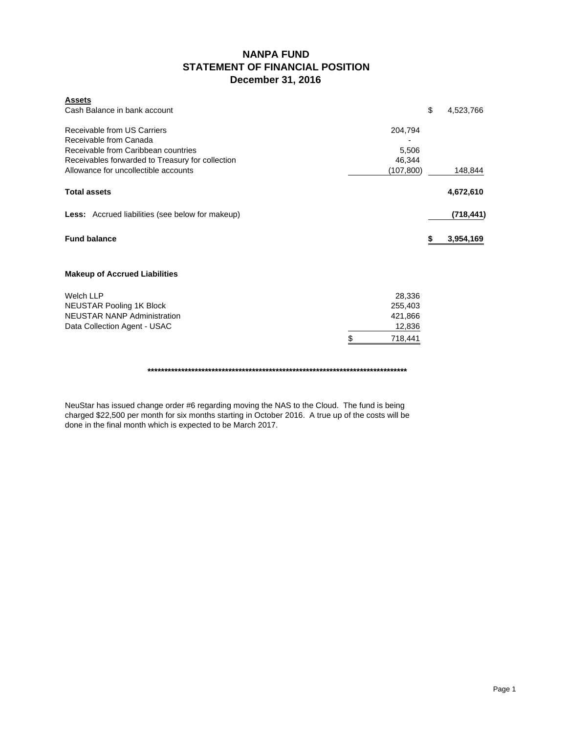### **NANPA FUND STATEMENT OF FINANCIAL POSITION December 31, 2016**

| <b>Assets</b><br>Cash Balance in bank account           |               | \$ | 4,523,766  |
|---------------------------------------------------------|---------------|----|------------|
| Receivable from US Carriers                             | 204,794       |    |            |
| Receivable from Canada                                  |               |    |            |
| Receivable from Caribbean countries                     | 5,506         |    |            |
| Receivables forwarded to Treasury for collection        | 46,344        |    |            |
| Allowance for uncollectible accounts                    | (107, 800)    |    | 148,844    |
| <b>Total assets</b>                                     |               |    | 4,672,610  |
| <b>Less:</b> Accrued liabilities (see below for makeup) |               |    | (718, 441) |
| <b>Fund balance</b>                                     |               | S  | 3,954,169  |
| <b>Makeup of Accrued Liabilities</b>                    |               |    |            |
| <b>Welch LLP</b>                                        | 28,336        |    |            |
| <b>NEUSTAR Pooling 1K Block</b>                         | 255,403       |    |            |
| <b>NEUSTAR NANP Administration</b>                      | 421,866       |    |            |
| Data Collection Agent - USAC                            | 12,836        |    |            |
|                                                         | \$<br>718,441 |    |            |
|                                                         |               |    |            |

NeuStar has issued change order #6 regarding moving the NAS to the Cloud. The fund is being charged \$22,500 per month for six months starting in October 2016. A true up of the costs will be done in the final month which is expected to be March 2017.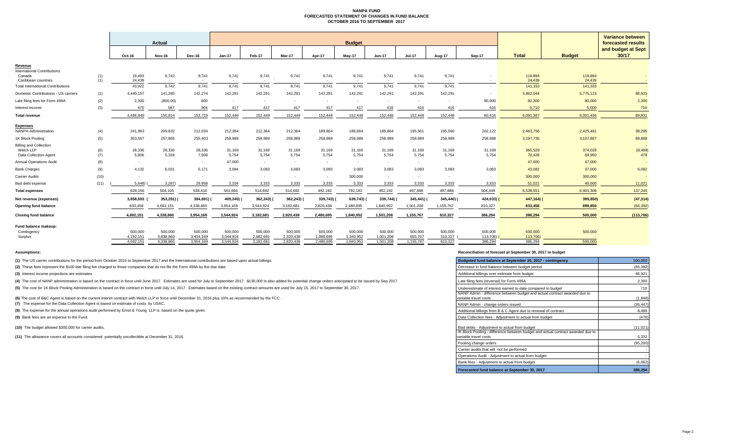#### **NANPA FUND FORECASTED STATEMENT OF CHANGES IN FUND BALANCE OCTOBER 2016 TO SEPTEMBER 2017**

|                                                              |            |                      | Actual                   |                      |                      |                               |                      |                      | <b>Budget</b>        |                          |                    |                    |                     |                     |                   | Variance between<br>forecasted results |
|--------------------------------------------------------------|------------|----------------------|--------------------------|----------------------|----------------------|-------------------------------|----------------------|----------------------|----------------------|--------------------------|--------------------|--------------------|---------------------|---------------------|-------------------|----------------------------------------|
|                                                              |            | Oct-16               | <b>Nov-16</b>            | Dec-16               | $Jan-17$             | Feb-17                        | Mar-17               | Apr-17               | May-17               | Jun-17                   | <b>Jul-17</b>      | Aug-17             | <b>Sep-17</b>       | <b>Total</b>        | <b>Budget</b>     | and budget at Sept<br>30/17            |
| Revenue                                                      |            |                      |                          |                      |                      |                               |                      |                      |                      |                          |                    |                    |                     |                     |                   |                                        |
| International Contributions<br>Canada<br>Caribbean countries | (1)<br>(1) | 19,483<br>24.439     | 9,742<br>$\sim$          | 9,741<br>$\sim$      | 9,741<br>$\sim$      | 9,741<br>$\sim$<br>$\sim$ $-$ | 9,741                | 9,741<br>$\sim$      | 9,741<br>$\sim$      | 9,741<br>$\sim$          | 9,741<br>$\sim$    | 9,741<br>$\sim$    |                     | 116,894<br>24.439   | 116,894<br>24.439 |                                        |
| <b>Total International Contributions</b>                     |            | 43,922               | 9.742                    | 9.741                | 9.741                | 9.741                         | 9.741                | 9,741                | 9,741                | 9.741                    | 9.741              | 9.741              |                     | 141,333             | 141,333           |                                        |
| Domestic Contributions - US carriers                         | (1)        | 4,440,157            | 141,285                  | 142,274              | 142,291              | 142,291                       | 142,291              | 142,291              | 142,291              | 142,291                  | 142,291            | 142,291            | $\sim$              | 5,862,044           | 5,775,123         | 86,921                                 |
| Late filing fees for Form 499A                               | (2)        | 2,300                | (800.00)                 | 800                  | $\sim$               | $\sim$                        | $\sim$               | <b>.</b>             | $\sim$               | $\sim$                   | $\sim$             | $\sim$             | 80,000              | 82,300              | 80,000            | 2,300                                  |
| Interest income                                              | (3)        | 470                  | 587                      | 904                  | 417                  | 417                           | 417                  | 417                  | 417                  | 416                      | 416                | 416                | 416                 | 5,710               | 5.000             | 710                                    |
| <b>Total revenue</b>                                         |            | 4.486.849            | 150.814                  | 153.719              | 152.449              | 152.449                       | 152.449              | 152,449              | 152,449              | 152.448                  | 152,448            | 152.448            | 80.416              | 6.091,387           | 6,001,456         | 89,931                                 |
| <b>Expenses</b><br><b>NANPA Administration</b>               | (4)        | 241,963              | 209,832                  | 212,034              | 212,364              | 212,364                       | 212,364              | 189,864              | 189,864              | 189,864                  | 195,561            | 195,560            | 202,122             | 2,463,756           | 2,425,461         | 38,295                                 |
| 1K Block Pooling                                             | (5)        | 353,567              | 257,865                  | 255,403              | 258,989              | 258,989                       | 258,989              | 258,989              | 258,989              | 258,989                  | 258,989            | 258,989            | 258,988             | 3,197,735           | 3,107,867         | 89,868                                 |
| <b>Billing and Collection</b>                                |            |                      |                          |                      |                      |                               |                      |                      |                      |                          |                    |                    |                     |                     |                   |                                        |
| Welch LLP<br>Data Collection Agent                           | (6)<br>(7) | 28,336<br>5,806      | 28,336<br>5,328          | 28,336<br>7,508      | 31,169<br>5,754      | 31,169<br>5,754               | 31,169<br>5,754      | 31,169<br>5,754      | 31,169<br>5,754      | 31,169<br>5,754          | 31,169<br>5,754    | 31.169<br>5,754    | 31,169<br>5,754     | 365,529<br>70,428   | 374,028<br>69,950 | (8, 499)<br>478                        |
| <b>Annual Operations Audit</b>                               | (8)        | $\sim$               | $\sim$                   | $\sim$               | 47,000               | $\sim$                        | $\sim$               | $\sim$               | $\sim$               | $\sim$                   | $\sim$             |                    |                     | 47,000              | 47,000            |                                        |
| <b>Bank Charges</b>                                          | (9)        | 4,132                | 6,031                    | 5,171                | 3,084                | 3,083                         | 3,083                | 3,083                | 3,083                | 3,083                    | 3,083              | 3,083              | 3,083               | 43,082              | 37,000            | 6,082                                  |
| <b>Carrier Audits</b>                                        | (10)       | $\sim$               | $\overline{\phantom{a}}$ | $\sim$               | $\mathbf{r}$         | ۰.                            | $\sim$               |                      | 300,000              | $\overline{\phantom{a}}$ | $\sim$             | $\sim$             |                     | 300,000             | 300,000           |                                        |
| Bad debt expense                                             | (11)       | 5,648                | 3,287                    | 29,958               | 3,334                | 3,333                         | 3,333                | 3,333                | 3,333                | 3,333                    | 3,333              | 3,333              | 3,333               | 51,021              | 40,000            | 11,021                                 |
| <b>Total expenses</b>                                        |            | 628.156              | 504.105                  | 538,410              | 561.694              | 514,692                       | 514,692              | 492,192              | 792,192              | 492,192                  | 497,889            | 497,888            | 504.449             | 6.538.551           | 6,401,306         | 137,245                                |
| Net revenue (expenses)                                       |            | 3,858,693            | 353,291)                 | 384,691)             | 409,245) (           | 362,243)                      | 362,243)             | 339,743)             | 639,743)             | 339,744)                 | 345,441)           | 345,440) (         | 424,033) (          | 447,164) (          | 399,850)          | (47, 314)                              |
| Opening fund balance                                         |            | 833,458              | 4,692,151                | 4,338,860            | 3,954,169            | 3,544,924                     | 3,182,681            | 2,820,438            | 2,480,695            | 1,840,952                | 1,501,208          | 1,155,767          | 810,327             | 833,458             | 899,850           | (66, 392)                              |
| <b>Closing fund balance</b>                                  |            | 4,692,151            | 4,338,860                | 3,954,169            | 3,544,924            | 3,182,681                     | 2,820,438            | 2,480,695            | 1,840,952            | 1,501,208                | 1,155,767          | 810,327            | 386,294             | 386,294             | 500,000           | (113, 706)                             |
| Fund balance makeup:                                         |            |                      |                          |                      |                      |                               |                      |                      |                      |                          |                    |                    |                     |                     |                   |                                        |
| Contingency<br>Surplus                                       |            | 500,000<br>4.192.151 | 500,000<br>3.838.860     | 500.000<br>3.454.169 | 500,000<br>3.044.924 | 500,000<br>2.682.681          | 500,000<br>2,320,438 | 500,000<br>1,980,695 | 500,000<br>1,340,952 | 500,000<br>1.001.208     | 500,000<br>655,767 | 500,000<br>310.327 | 500,000<br>113,706) | 500,000<br>113,706) | 500,000           |                                        |
|                                                              |            | 4.692.151            | 4.338.860                | 3.954.169            | 3.544.924            | 3.182.681                     | 2.820.438            | 2.480.695            | 1.840.952            | 1.501.208                | 1.155.767          | 810.327            | 386,294             | 386.294             | 500,000           |                                        |

**(1)** The US carrier contributions for the period from October 2016 to September 2017 and the International contributions are based upon actual billings.

(2) These fees represent the \$100 late filing fee charged to those companies that do not file the Form 499A by the due date.

**(3)** Interest income projections are estimates

(4) The cost of NANP administration is based on the contract in force until June 2017. Estimates are used for July to September 2017. \$130,000 is also added for potential change orders anticipated to be issued by Sep 2017.

(5) The cost for 1K Block Pooling Administration is based on the contract in force until July 14, 2017. Estimates based on the existing contract amounts are used for July 15, 2017 to September 30, 2017.

(6) The cost of B&C Agent is based on the current interim contract with Welch LLP in force until December 31, 2016 plus 10% as recommended by the FCC.

**(7)** The expense for the Data Collection Agent is based on estimate of costs by USAC.

**(8)** The expense for the annual operations audit performed by Ernst & Young LLP is based on the quote given.

**(9)** Bank fees are an expense to the Fund.

**(10)** The budget allowed \$300,000 for carrier audits.

**(11)** The allowance covers all accounts considered potentially uncollectible at December 31, 2016.

#### **Assumptions: Reconciliation of forecast at September 30, 2017 to budget**

| Budgeted fund balance at September 30, 2017 - contingency                                                                                                | 500,000            |
|----------------------------------------------------------------------------------------------------------------------------------------------------------|--------------------|
| Decrease in fund balance between budget period                                                                                                           | (66, 392)          |
| Additional billings over estimate from budget                                                                                                            | 86,921             |
| Late filing fees (reversal) for Form 499A                                                                                                                | 2,300              |
| Underestimate of interest earned to date compared to budget                                                                                              | 710                |
| NANP Admin - difference between budget and actual contract awarded due to<br>variable travel costs                                                       | (1, 848)           |
| NANP Admin - change orders issued                                                                                                                        | (36, 447)          |
| Additional billings from B & C Agent due to renewal of contract                                                                                          | 8,499              |
| Data Collection fees - Adjustment to actual from budget                                                                                                  | (478)              |
| Bad debts - Adjustment to actual from budget<br>IK Block Pooling - difference between budget and actual contract awarded due to<br>variable travel costs | (11, 021)<br>5,332 |
| Pooling change orders                                                                                                                                    | (95, 200)          |
| Carrier audits that will not be performed                                                                                                                |                    |
| Operations Audit - Adjustment to actual from budget                                                                                                      |                    |
| Bank fees - Adjustment to actual from budget                                                                                                             | (6,082)            |
| Forecasted fund balance at September 30, 2017                                                                                                            | 386,294            |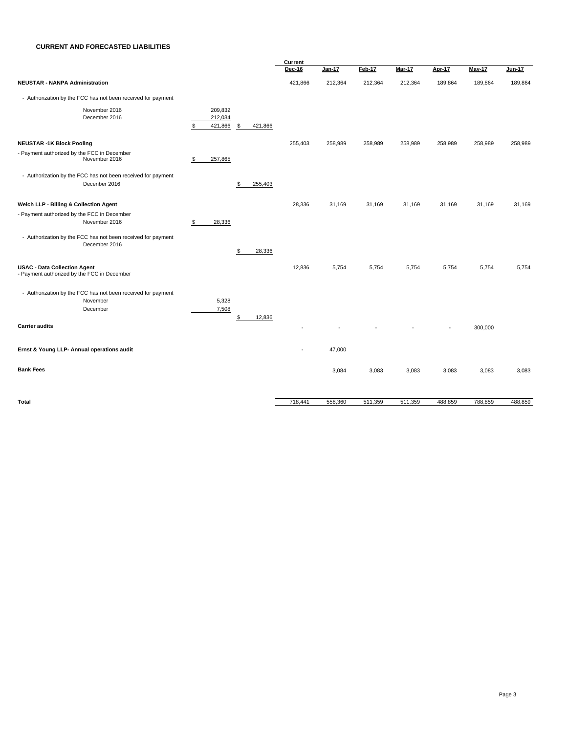#### **CURRENT AND FORECASTED LIABILITIES**

|                                                                                    |                                           | Current       |               |         |         |         |         |               |  |
|------------------------------------------------------------------------------------|-------------------------------------------|---------------|---------------|---------|---------|---------|---------|---------------|--|
|                                                                                    |                                           | <b>Dec-16</b> | <b>Jan-17</b> | Feb-17  | Mar-17  | Apr-17  | May-17  | <b>Jun-17</b> |  |
| <b>NEUSTAR - NANPA Administration</b>                                              |                                           | 421,866       | 212,364       | 212,364 | 212,364 | 189,864 | 189,864 | 189,864       |  |
| - Authorization by the FCC has not been received for payment                       |                                           |               |               |         |         |         |         |               |  |
| November 2016                                                                      | 209,832                                   |               |               |         |         |         |         |               |  |
| December 2016                                                                      | 212,034<br>\$<br>421,866<br>\$<br>421,866 |               |               |         |         |         |         |               |  |
| <b>NEUSTAR -1K Block Pooling</b>                                                   |                                           | 255,403       | 258,989       | 258,989 | 258,989 | 258,989 | 258,989 | 258,989       |  |
| - Payment authorized by the FCC in December<br>November 2016                       | 257,865<br>\$                             |               |               |         |         |         |         |               |  |
| - Authorization by the FCC has not been received for payment                       |                                           |               |               |         |         |         |         |               |  |
| Decenber 2016                                                                      | \$<br>255,403                             |               |               |         |         |         |         |               |  |
| Welch LLP - Billing & Collection Agent                                             |                                           | 28,336        | 31,169        | 31,169  | 31,169  | 31,169  | 31,169  | 31,169        |  |
| - Payment authorized by the FCC in December                                        |                                           |               |               |         |         |         |         |               |  |
| November 2016                                                                      | 28,336<br>\$                              |               |               |         |         |         |         |               |  |
| - Authorization by the FCC has not been received for payment<br>December 2016      |                                           |               |               |         |         |         |         |               |  |
|                                                                                    | \$<br>28,336                              |               |               |         |         |         |         |               |  |
| <b>USAC - Data Collection Agent</b><br>- Payment authorized by the FCC in December |                                           | 12,836        | 5,754         | 5,754   | 5,754   | 5,754   | 5,754   | 5,754         |  |
| - Authorization by the FCC has not been received for payment                       |                                           |               |               |         |         |         |         |               |  |
| November                                                                           | 5,328                                     |               |               |         |         |         |         |               |  |
| December                                                                           | 7,508<br>\$<br>12,836                     |               |               |         |         |         |         |               |  |
| <b>Carrier audits</b>                                                              |                                           |               |               |         |         |         | 300,000 |               |  |
| Ernst & Young LLP- Annual operations audit                                         |                                           |               | 47,000        |         |         |         |         |               |  |
| <b>Bank Fees</b>                                                                   |                                           |               | 3,084         | 3,083   | 3,083   | 3,083   | 3,083   | 3,083         |  |
|                                                                                    |                                           |               |               |         |         |         |         |               |  |
| <b>Total</b>                                                                       |                                           | 718,441       | 558,360       | 511,359 | 511,359 | 488,859 | 788,859 | 488,859       |  |